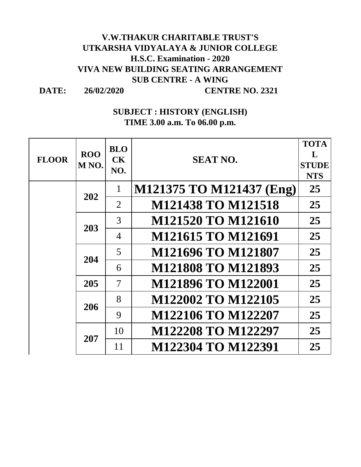## **V.W.THAKUR CHARITABLE TRUST'S UTKARSHA VIDYALAYA & JUNIOR COLLEGE H.S.C. Examination - 2020 VIVA NEW BUILDING SEATING ARRANGEMENT SUB CENTRE - A WING**

**DATE:**

**26/02/2020 CENTRE NO. 2321**

## **SUBJECT : HISTORY (ENGLISH) TIME 3.00 a.m. To 06.00 p.m.**

| <b>FLOOR</b> | <b>ROO</b><br>M <sub>NO</sub> . | <b>BLO</b><br><b>CK</b><br>NO. | <b>SEAT NO.</b>           | <b>TOTA</b><br>$\mathbf{L}$<br><b>STUDE</b><br><b>NTS</b> |
|--------------|---------------------------------|--------------------------------|---------------------------|-----------------------------------------------------------|
|              | 202                             | 1                              | M121375 TO M121437 (Eng)  | 25                                                        |
|              |                                 | $\overline{2}$                 | <b>M121438 TO M121518</b> | 25                                                        |
|              | 203                             | 3                              | M121520 TO M121610        | 25                                                        |
|              |                                 | $\overline{4}$                 | M121615 TO M121691        | 25                                                        |
|              | 204                             | 5                              | M121696 TO M121807        | 25                                                        |
|              |                                 | 6                              | <b>M121808 TO M121893</b> | 25                                                        |
|              | 205                             | $\overline{7}$                 | M121896 TO M122001        | 25                                                        |
|              | 206<br>207                      | 8                              | M122002 TO M122105        | 25                                                        |
|              |                                 | 9                              | M122106 TO M122207        | 25                                                        |
|              |                                 | 10                             | M122208 TO M122297        | 25                                                        |
|              |                                 | 11                             | M122304 TO M122391        | 25                                                        |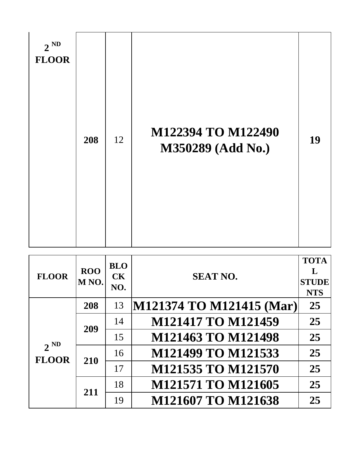| $2^{ND}$<br><b>FLOOR</b> | 208 | 12 | M122394 TO M122490<br>M350289 (Add No.) | 19 |
|--------------------------|-----|----|-----------------------------------------|----|
|--------------------------|-----|----|-----------------------------------------|----|

| <b>FLOOR</b>             | <b>ROO</b><br>M <sub>NO</sub> . | <b>BLO</b><br>CK<br>NO. | <b>SEAT NO.</b>           | <b>TOTA</b><br>L<br><b>STUDE</b><br><b>NTS</b> |
|--------------------------|---------------------------------|-------------------------|---------------------------|------------------------------------------------|
| $2^{ND}$<br><b>FLOOR</b> | 208                             | 13                      | M121374 TO M121415 (Mar)  | 25                                             |
|                          | 209                             | 14                      | <b>M121417 TO M121459</b> | 25                                             |
|                          |                                 | 15                      | M121463 TO M121498        | 25                                             |
|                          | 210                             | 16                      | M121499 TO M121533        | 25                                             |
|                          |                                 | 17                      | M121535 TO M121570        | 25                                             |
|                          | 211                             | 18                      | M121571 TO M121605        | 25                                             |
|                          |                                 | 19                      | M121607 TO M121638        | 25                                             |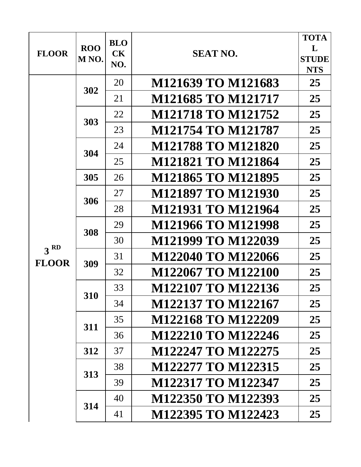| <b>FLOOR</b>    | <b>ROO</b><br>M <sub>NO</sub> . | <b>BLO</b><br><b>CK</b><br>NO. | <b>SEAT NO.</b>           | <b>TOTA</b><br>L<br><b>STUDE</b><br><b>NTS</b> |
|-----------------|---------------------------------|--------------------------------|---------------------------|------------------------------------------------|
|                 | 302                             | 20                             | M121639 TO M121683        | 25                                             |
|                 |                                 | 21                             | M121685 TO M121717        | 25                                             |
|                 | 303                             | 22                             | M121718 TO M121752        | 25                                             |
|                 |                                 | 23                             | M121754 TO M121787        | 25                                             |
|                 | 304                             | 24                             | <b>M121788 TO M121820</b> | 25                                             |
|                 |                                 | 25                             | <b>M121821 TO M121864</b> | 25                                             |
|                 | 305                             | 26                             | <b>M121865 TO M121895</b> | 25                                             |
|                 | 306                             | 27                             | M121897 TO M121930        | 25                                             |
|                 |                                 | 28                             | M121931 TO M121964        | 25                                             |
|                 | 308                             | 29                             | <b>M121966 TO M121998</b> | 25                                             |
| 3 <sup>RD</sup> |                                 | 30                             | M121999 TO M122039        | 25                                             |
| <b>FLOOR</b>    | 309                             | 31                             | M122040 TO M122066        | 25                                             |
|                 |                                 | 32                             | M122067 TO M122100        | 25                                             |
|                 | 310                             | 33                             | M122107 TO M122136        | 25                                             |
|                 |                                 | 34                             | M122137 TO M122167        | 25                                             |
|                 | 311                             | 35                             | M122168 TO M122209        | 25                                             |
|                 |                                 | 36                             | M122210 TO M122246        | 25                                             |
|                 | 312                             | 37                             | M122247 TO M122275        | 25                                             |
|                 | 313                             | 38                             | M122277 TO M122315        | 25                                             |
|                 |                                 | 39                             | M122317 TO M122347        | 25                                             |
|                 | 314                             | 40                             | M122350 TO M122393        | 25                                             |
|                 |                                 | 41                             | M122395 TO M122423        | 25                                             |